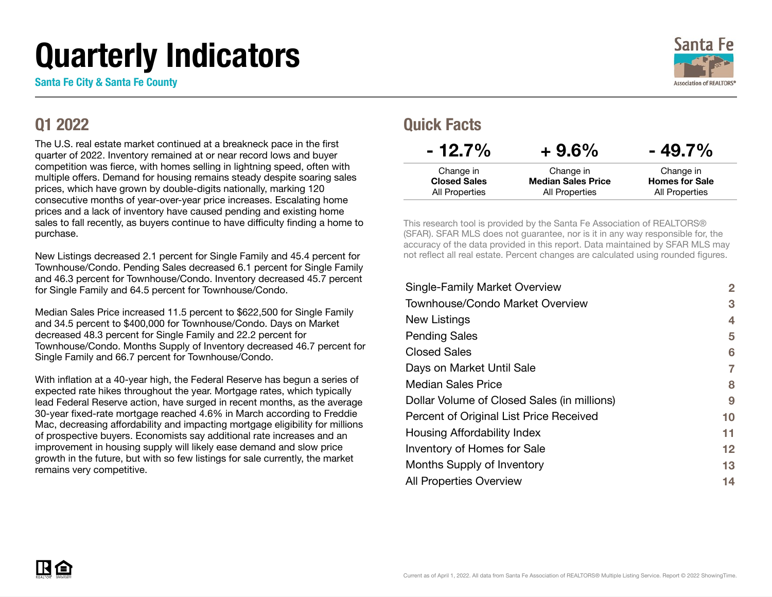# Quarterly Indicators

Santa Fe City & Santa Fe County

#### Q1 2022

The U.S. real estate market continued at a breakneck pace in the first quarter of 2022. Inventory remained at or near record lows and buyer competition was fierce, with homes selling in lightning speed, often with multiple offers. Demand for housing remains steady despite soaring sales prices, which have grown by double-digits nationally, marking 120 consecutive months of year-over-year price increases. Escalating home prices and a lack of inventory have caused pending and existing home sales to fall recently, as buyers continue to have difficulty finding a home to purchase.

New Listings decreased 2.1 percent for Single Family and 45.4 percent for Townhouse/Condo. Pending Sales decreased 6.1 percent for Single Family and 46.3 percent for Townhouse/Condo. Inventory decreased 45.7 percent for Single Family and 64.5 percent for Townhouse/Condo.

Median Sales Price increased 11.5 percent to \$622,500 for Single Family and 34.5 percent to \$400,000 for Townhouse/Condo. Days on Market decreased 48.3 percent for Single Family and 22.2 percent for Townhouse/Condo. Months Supply of Inventory decreased 46.7 percent for Single Family and 66.7 percent for Townhouse/Condo.

With inflation at a 40-year high, the Federal Reserve has begun a series of expected rate hikes throughout the year. Mortgage rates, which typically lead Federal Reserve action, have surged in recent months, as the average 30-year fixed-rate mortgage reached 4.6% in March according to Freddie Mac, decreasing affordability and impacting mortgage eligibility for millions of prospective buyers. Economists say additional rate increases and an improvement in housing supply will likely ease demand and slow price growth in the future, but with so few listings for sale currently, the market remains very competitive.



#### Quick Facts

| $+9.6\%$                  | $-49.7\%$             |
|---------------------------|-----------------------|
| Change in                 | Change in             |
| <b>Median Sales Price</b> | <b>Homes for Sale</b> |
| <b>All Properties</b>     | All Properties        |
|                           |                       |

This research tool is provided by the Santa Fe Association of REALTORS® (SFAR). SFAR MLS does not guarantee, nor is it in any way responsible for, the accuracy of the data provided in this report. Data maintained by SFAR MLS may not reflect all real estate. Percent changes are calculated using rounded figures.

| <b>Single-Family Market Overview</b>        | $\mathbf{2}$ |
|---------------------------------------------|--------------|
| <b>Townhouse/Condo Market Overview</b>      | 3            |
| New Listings                                | 4            |
| <b>Pending Sales</b>                        | 5            |
| <b>Closed Sales</b>                         | 6            |
| Days on Market Until Sale                   | 7            |
| <b>Median Sales Price</b>                   | 8            |
| Dollar Volume of Closed Sales (in millions) | 9            |
| Percent of Original List Price Received     | 10           |
| Housing Affordability Index                 | 11           |
| Inventory of Homes for Sale                 | 12           |
| Months Supply of Inventory                  | 13           |
| <b>All Properties Overview</b>              | 14           |

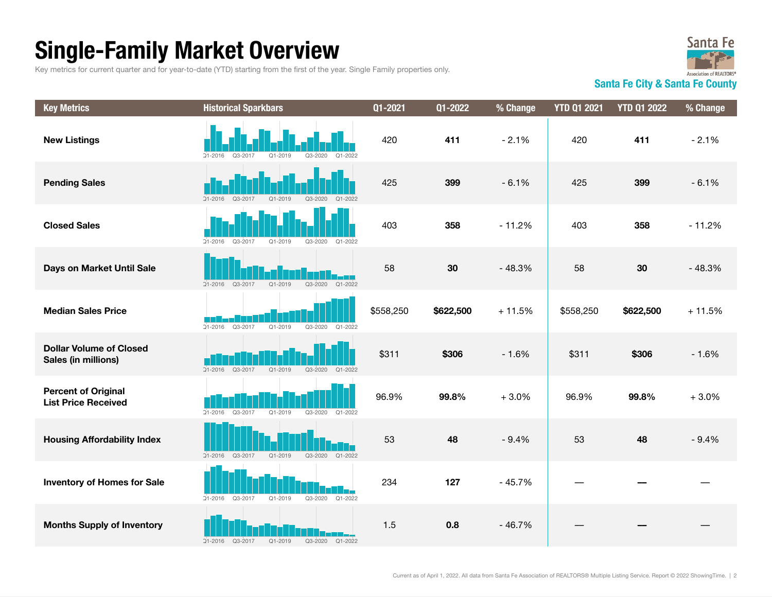## Single-Family Market Overview

Key metrics for current quarter and for year-to-date (YTD) starting from the first of the year. Single Family properties only.



Santa Fe City & Santa Fe County

| <b>Key Metrics</b>                                       | <b>Historical Sparkbars</b>                                             | $\overline{Q}$ 1-2021 | Q1-2022   | % Change | <b>YTD Q1 2021</b> | <b>YTD Q1 2022</b> | % Change |
|----------------------------------------------------------|-------------------------------------------------------------------------|-----------------------|-----------|----------|--------------------|--------------------|----------|
| <b>New Listings</b>                                      | $Q1 - 2022$<br>$21 - 2016$<br>$Q3 - 2017$<br>$Q1 - 2019$<br>$Q3 - 2020$ | 420                   | 411       | $-2.1%$  | 420                | 411                | $-2.1%$  |
| <b>Pending Sales</b>                                     | $Q1 - 2019$<br>$Q3 - 2020$<br>$21 - 2016$<br>Q3-2017<br>$Q1 - 2022$     | 425                   | 399       | $-6.1%$  | 425                | 399                | $-6.1%$  |
| <b>Closed Sales</b>                                      | $Q1 - 2019$<br>Q3-2020<br>Q1-2022<br>$.21 - 2016$<br>Q3-2017            | 403                   | 358       | $-11.2%$ | 403                | 358                | $-11.2%$ |
| Days on Market Until Sale                                | Q1-2022<br>$Q1 - 2019$<br>Q3-2020<br>$21 - 2016$<br>Q3-2017             | 58                    | 30        | $-48.3%$ | 58                 | 30                 | $-48.3%$ |
| <b>Median Sales Price</b>                                | Q3-2017<br>$Q1 - 2019$<br>Q3-2020<br>$21 - 2016$<br>Q1-2022             | \$558,250             | \$622,500 | $+11.5%$ | \$558,250          | \$622,500          | $+11.5%$ |
| <b>Dollar Volume of Closed</b><br>Sales (in millions)    | $21 - 2016$<br>Q3-2017<br>$Q1 - 2019$<br>Q3-2020<br>Q1-2022             | \$311                 | \$306     | $-1.6%$  | \$311              | \$306              | $-1.6%$  |
| <b>Percent of Original</b><br><b>List Price Received</b> | Q3-2017<br>$21 - 2016$<br>$Q1 - 2019$<br>Q3-2020<br>Q1-2022             | 96.9%                 | 99.8%     | $+3.0%$  | 96.9%              | 99.8%              | $+3.0%$  |
| <b>Housing Affordability Index</b>                       | Q3-2017<br>$Q1 - 2019$<br>Q3-2020<br>Q1-2022<br>$21 - 2016$             | 53                    | 48        | $-9.4%$  | 53                 | 48                 | $-9.4%$  |
| <b>Inventory of Homes for Sale</b>                       | Q3-2020<br>$21 - 2016$<br>Q3-2017<br>$Q1 - 2019$<br>Q1-2022             | 234                   | 127       | $-45.7%$ |                    |                    |          |
| <b>Months Supply of Inventory</b>                        | $Q1 - 2019$<br>Q3-2020<br>$21 - 2016$<br>Q3-2017<br>Q1-2022             | 1.5                   | 0.8       | $-46.7%$ |                    |                    |          |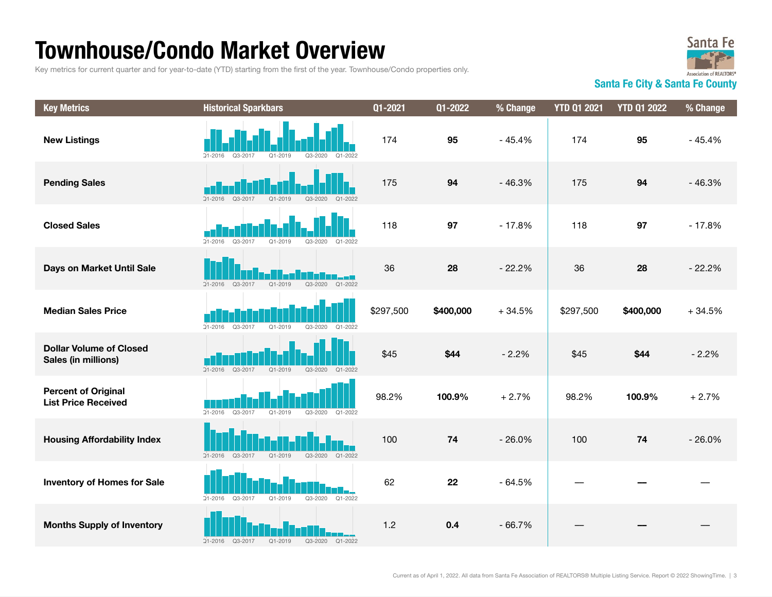### Townhouse/Condo Market Overview

Key metrics for current quarter and for year-to-date (YTD) starting from the first of the year. Townhouse/Condo properties only.



Santa Fe City & Santa Fe County

| <b>Key Metrics</b>                                       | <b>Historical Sparkbars</b>                                             | $\overline{Q}$ 1-2021 | Q1-2022   | % Change | <b>YTD Q1 2021</b> | <b>YTD Q1 2022</b> | % Change |
|----------------------------------------------------------|-------------------------------------------------------------------------|-----------------------|-----------|----------|--------------------|--------------------|----------|
| <b>New Listings</b>                                      | $Q3 - 2017$<br>$Q1 - 2019$<br>$Q3 - 2020$<br>$21 - 2016$<br>$Q1 - 2022$ | 174                   | 95        | $-45.4%$ | 174                | 95                 | $-45.4%$ |
| <b>Pending Sales</b>                                     | $21 - 2016$<br>Q3-2017<br>$Q1 - 2019$<br>Q3-2020<br>$Q1 - 2022$         | 175                   | 94        | $-46.3%$ | 175                | 94                 | $-46.3%$ |
| <b>Closed Sales</b>                                      | $21 - 2016$<br>Q3-2017<br>$Q1 - 2019$<br>Q3-2020<br>Q1-2022             | 118                   | 97        | $-17.8%$ | 118                | 97                 | $-17.8%$ |
| Days on Market Until Sale                                | Q1-2022<br>Q3-2017<br>Q1-2019<br>Q3-2020<br>$21 - 2016$                 | 36                    | 28        | $-22.2%$ | 36                 | 28                 | $-22.2%$ |
| <b>Median Sales Price</b>                                | Q3-2017<br>$Q1 - 2019$<br>Q3-2020<br>$21 - 2016$<br>$Q1 - 2022$         | \$297,500             | \$400,000 | $+34.5%$ | \$297,500          | \$400,000          | $+34.5%$ |
| <b>Dollar Volume of Closed</b><br>Sales (in millions)    | $21 - 2016$<br>Q3-2017<br>$Q1 - 2019$<br>Q3-2020<br>$Q1 - 2022$         | \$45                  | \$44      | $-2.2%$  | \$45               | \$44               | $-2.2%$  |
| <b>Percent of Original</b><br><b>List Price Received</b> | Q3-2017<br>$21 - 2016$<br>$Q1 - 2019$<br>Q3-2020<br>Q1-2022             | 98.2%                 | 100.9%    | $+2.7%$  | 98.2%              | 100.9%             | $+2.7%$  |
| <b>Housing Affordability Index</b>                       | $Q1 - 2019$<br>Q3-2020<br>Q1-2022<br>$21 - 2016$<br>Q3-2017             | 100                   | 74        | $-26.0%$ | 100                | 74                 | $-26.0%$ |
| <b>Inventory of Homes for Sale</b>                       | Q3-2020<br>Q1-2022<br>$21 - 2016$<br>Q3-2017<br>$Q1 - 2019$             | 62                    | 22        | $-64.5%$ |                    |                    |          |
| <b>Months Supply of Inventory</b>                        | Q3-2017<br>$Q1 - 2019$<br>Q3-2020<br>$21 - 2016$<br>Q1-2022             | 1.2                   | 0.4       | $-66.7%$ |                    |                    |          |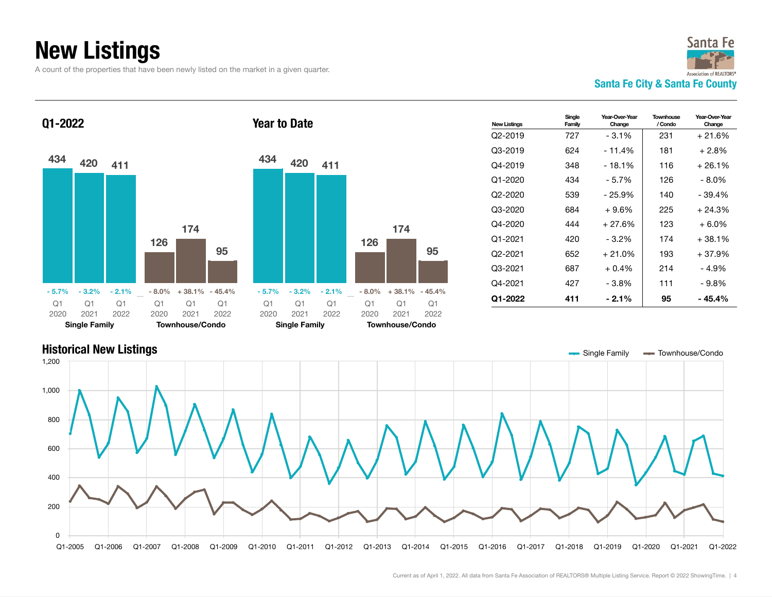## New Listings

A count of the properties that have been newly listed on the market in a given quarter.



Q1-2022





| <b>New Listinas</b> | Single<br>Family | Year-Over-Year<br>Change | Townhouse<br>/ Condo | Year-Over-Year<br>Change |
|---------------------|------------------|--------------------------|----------------------|--------------------------|
| Q2-2019             | 727              | $-3.1\%$                 | 231                  | $+21.6%$                 |
| Q3-2019             | 624              | $-11.4%$                 | 181                  | $+2.8%$                  |
| Q4-2019             | 348              | $-18.1%$                 | 116                  | $+26.1%$                 |
| $Q1 - 2020$         | 434              | - 5.7%                   | 126                  | - 8.0%                   |
| Q2-2020             | 539              | $-25.9%$                 | 140                  | $-39.4%$                 |
| Q3-2020             | 684              | $+9.6%$                  | 225                  | $+24.3%$                 |
| Q4-2020             | 444              | $+27.6%$                 | 123                  | $+6.0\%$                 |
| Q1-2021             | 420              | $-3.2%$                  | 174                  | $+38.1%$                 |
| Q2-2021             | 652              | $+21.0%$                 | 193                  | $+37.9%$                 |
| Q3-2021             | 687              | $+0.4%$                  | 214                  | - 4.9%                   |
| Q4-2021             | 427              | - 3.8%                   | 111                  | - 9.8%                   |
| Q1-2022             | 411              | $-2.1\%$                 | 95                   | - 45.4%                  |

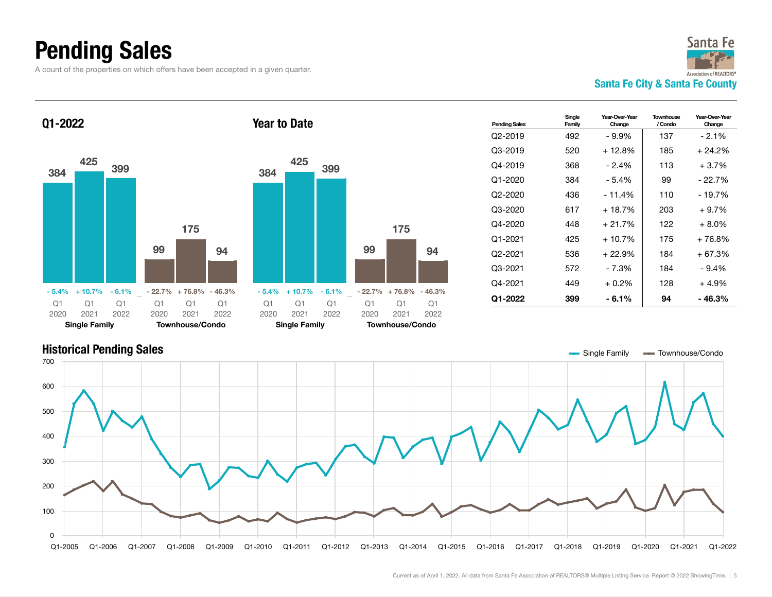### Pending Sales

Q1-2022

A count of the properties on which offers have been accepted in a given quarter.



384 <sup>425</sup> <sup>399</sup>





| <b>Pending Sales</b> | Single<br>Family | Year-Over-Year<br>Change | Townhouse<br>/ Condo | Year-Over-Year<br>Change |
|----------------------|------------------|--------------------------|----------------------|--------------------------|
| Q2-2019              | 492              | - 9.9%                   | 137                  | $-2.1\%$                 |
| Q3-2019              | 520              | + 12.8%                  | 185                  | + 24.2%                  |
| Q4-2019              | 368              | $-2.4%$                  | 113                  | $+3.7%$                  |
| Q1-2020              | 384              | - 5.4%                   | 99                   | - 22.7%                  |
| $Q2 - 2020$          | 436              | $-11.4%$                 | 110                  | - 19.7%                  |
| Q3-2020              | 617              | + 18.7%                  | 203                  | + 9.7%                   |
| Q4-2020              | 448              | + 21.7%                  | 122                  | + 8.0%                   |
| Q1-2021              | 425              | $+10.7%$                 | 175                  | + 76.8%                  |
| O2-2021              | 536              | $+22.9\%$                | 184                  | + 67.3%                  |
| Q3-2021              | 572              | - 7.3%                   | 184                  | $-9.4%$                  |
| Q4-2021              | 449              | $+0.2\%$                 | 128                  | + 4.9%                   |
| Q1-2022              | 399              | - 6.1%                   | 94                   | - 46.3%                  |

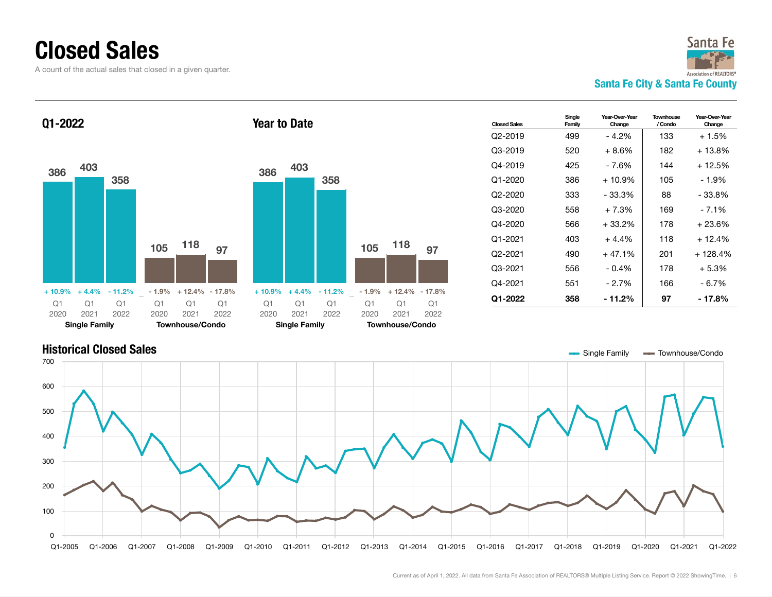### Closed Sales

A count of the actual sales that closed in a given quarter.

Townhouse/Condo



**Closed Sales** Single Family Year-Over-Year Change **Townhouse** / Condo Year-Over-Year Change Q2-2019 499 - 4.2% 133 + 1.5% Q3-2019 520 + 8.6% 182 + 13.8% Q4-2019 425 - 7.6% 144 + 12.5% Q1-2020 386 + 10.9% 105 - 1.9%  $Q2-2020$  333 - 33.3% 88 - 33.8% Q3-2020 558 + 7.3% 169 - 7.1%  $Q4 - 2020$  566 + 33.2% 178 + 23.6%  $Q1 - 2021$  403 + 4.4% 118 + 12.4%  $Q2-2021$  490 + 47.1% 201 + 128.4% Q3-2021 556 - 0.4% 178 + 5.3% Q4-2021 551 - 2.7% 166 - 6.7% Q1-2022 358 - 11.2% 97 - 17.8% Q1-2022 <sup>386</sup> <sup>403</sup> 358  $+ 10.9\% + 4.4\% - 11.2\%$ <sup>105</sup> <sup>118</sup> <sup>97</sup>  $-1.9\% + 12.4\% - 17.8\%$ Q1 2020 Q1 2021 Q1 2022 Q1 2020 Q1 2021 Q1 2022 Year to Date <sup>386</sup> <sup>403</sup> 358  $+ 10.9\% + 4.4\% - 11.2\%$ <sup>105</sup> <sup>118</sup> <sup>97</sup>  $-1.9\% + 12.4\% - 17.8\%$ Q1 2020 Q1 2021 Q1 2022 Q1 2020 Q1 2021 Q1 2022



Townhouse/Condo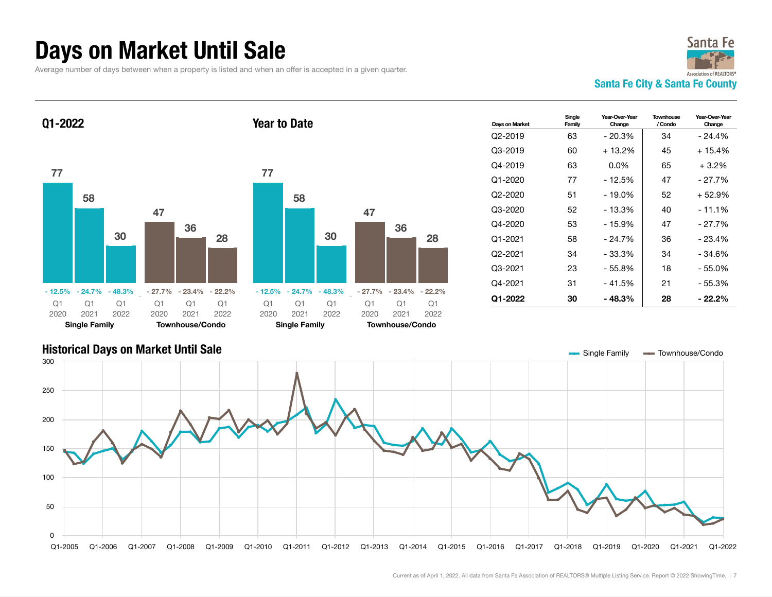### Days on Market Until Sale

Average number of days between when a property is listed and when an offer is accepted in a given quarter.

Year to Date





Q1-2022



| Days on Market       | Sinale<br>Family | Year-Over-Year<br>Change | <b>Townhouse</b><br>/ Condo | Year-Over-Year<br>Change |
|----------------------|------------------|--------------------------|-----------------------------|--------------------------|
| Q <sub>2</sub> -2019 | 63               | $-20.3%$                 | 34                          | $-24.4%$                 |
| Q3-2019              | 60               | + 13.2%                  | 45                          | $+15.4%$                 |
| Q4-2019              | 63               | $0.0\%$                  | 65                          | $+3.2%$                  |
| $Q1 - 2020$          | 77               | $-12.5%$                 | 47                          | $-27.7%$                 |
| Q2-2020              | 51               | $-19.0%$                 | 52                          | + 52.9%                  |
| Q3-2020              | 52               | $-13.3%$                 | 40                          | $-11.1%$                 |
| Q4-2020              | 53               | $-15.9%$                 | 47                          | - 27.7%                  |
| Q1-2021              | 58               | $-24.7%$                 | 36                          | $-23.4%$                 |
| Q2-2021              | 34               | $-33.3%$                 | 34                          | - 34.6%                  |
| Q3-2021              | 23               | $-55.8%$                 | 18                          | - 55.0%                  |
| Q4-2021              | 31               | - 41.5%                  | 21                          | - 55.3%                  |
| Q1-2022              | 30               | $-48.3%$                 | 28                          | - 22.2%                  |

#### Historical Days on Market Until Sale Q1-2005 Q1-2006 Q1-2007 Q1-2008 Q1-2009 Q1-2010 Q1-2011 Q1-2012 Q1-2013 Q1-2014 Q1-2015 Q1-2016 Q1-2017 Q1-2018 Q1-2019 Q1-2020 Q1-2021 Q1-2022  $\Omega$ 50 100 150 200 250 300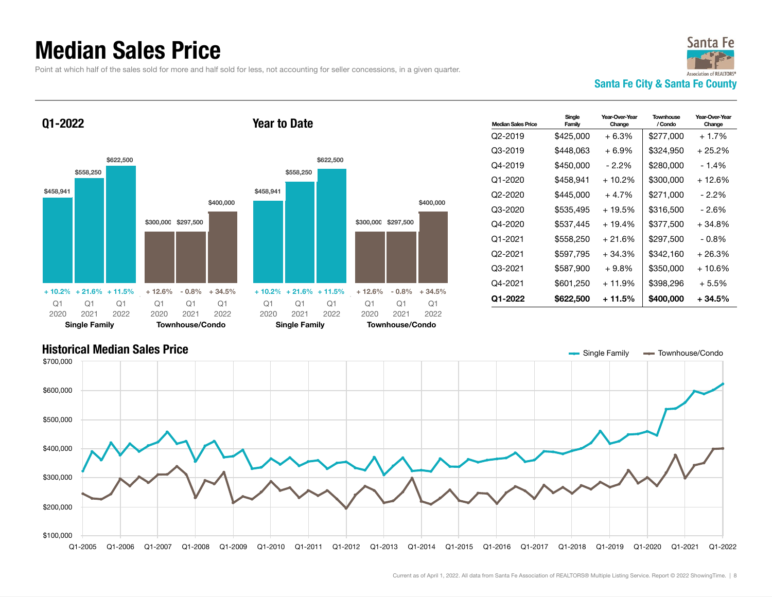### Median Sales Price

Point at which half of the sales sold for more and half sold for less, not accounting for seller concessions, in a given quarter.



Q1-2022





| <b>Median Sales Price</b> | Single<br>Family | Year-Over-Year<br>Change | <b>Townhouse</b><br>/ Condo | Year-Over-Year<br>Change |
|---------------------------|------------------|--------------------------|-----------------------------|--------------------------|
| Q <sub>2</sub> -2019      | \$425,000        | $+6.3%$                  | \$277,000                   | $+1.7%$                  |
| Q3-2019                   | \$448.063        | $+6.9\%$                 | \$324,950                   | $+25.2\%$                |
| Q4-2019                   | \$450,000        | $-2.2\%$                 | \$280,000                   | $-1.4%$                  |
| Q1-2020                   | \$458.941        | $+10.2%$                 | \$300,000                   | $+12.6%$                 |
| Q2-2020                   | \$445,000        | $+4.7%$                  | \$271,000                   | $-2.2\%$                 |
| Q3-2020                   | \$535.495        | $+19.5%$                 | \$316,500                   | - 2.6%                   |
| Q4-2020                   | \$537.445        | $+19.4%$                 | \$377.500                   | $+34.8%$                 |
| Q1-2021                   | \$558,250        | $+21.6%$                 | \$297,500                   | $-0.8\%$                 |
| O2-2021                   | \$597,795        | $+34.3%$                 | \$342,160                   | $+26.3%$                 |
| Q3-2021                   | \$587,900        | $+9.8\%$                 | \$350,000                   | + 10.6%                  |
| Q4-2021                   | \$601,250        | $+11.9%$                 | \$398,296                   | + 5.5%                   |
| Q1-2022                   | \$622,500        | $+11.5%$                 | \$400,000                   | $+34.5%$                 |



Year to Date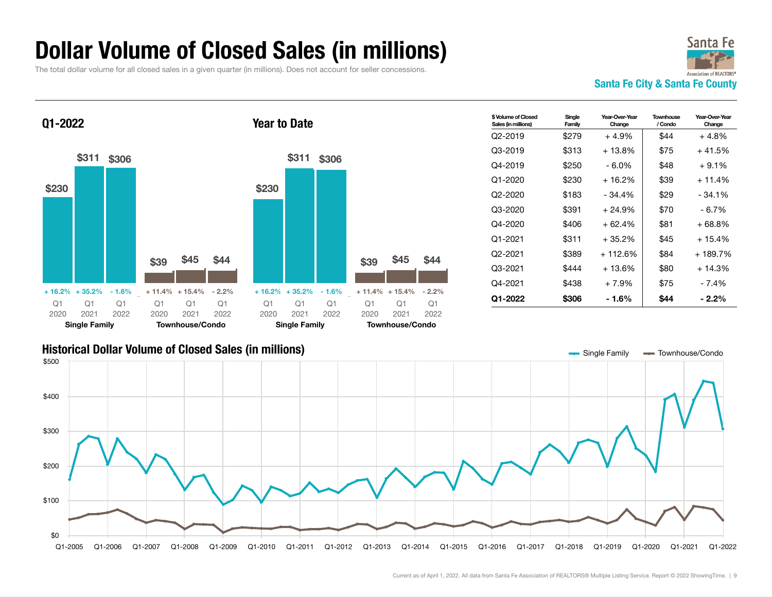#### Dollar Volume of Closed Sales (in millions)

The total dollar volume for all closed sales in a given quarter (in millions). Does not account for seller concessions.







| \$ Volume of Closed<br>Sales (in millions) | Single<br>Family | Year-Over-Year<br>Change | <b>Townhouse</b><br>/ Condo | Year-Over-Year<br>Change |
|--------------------------------------------|------------------|--------------------------|-----------------------------|--------------------------|
| O2-2019                                    | \$279            | $+4.9%$                  | \$44                        | $+4.8%$                  |
| Q3-2019                                    | \$313            | $+13.8\%$                | \$75                        | $+41.5%$                 |
| Q4-2019                                    | \$250            | - 6.0%                   | \$48                        | $+9.1%$                  |
| Q1-2020                                    | \$230            | $+16.2%$                 | \$39                        | $+11.4%$                 |
| Q2-2020                                    | \$183            | $-34.4\%$                | \$29                        | $-34.1\%$                |
| Q3-2020                                    | \$391            | $+24.9%$                 | \$70                        | - 6.7%                   |
| Q4-2020                                    | \$406            | $+62.4%$                 | \$81                        | + 68.8%                  |
| Q1-2021                                    | \$311            | $+35.2%$                 | \$45                        | $+15.4%$                 |
| O2-2021                                    | \$389            | + 112.6%                 | \$84                        | + 189.7%                 |
| Q3-2021                                    | \$444            | $+13.6%$                 | \$80                        | $+14.3%$                 |
| Q4-2021                                    | \$438            | $+7.9%$                  | \$75                        | - 7.4%                   |
| Q1-2022                                    | \$306            | - 1.6%                   | \$44                        | $-2.2%$                  |

#### Historical Dollar Volume of Closed Sales (in millions) Single Family Townhouse/Condo

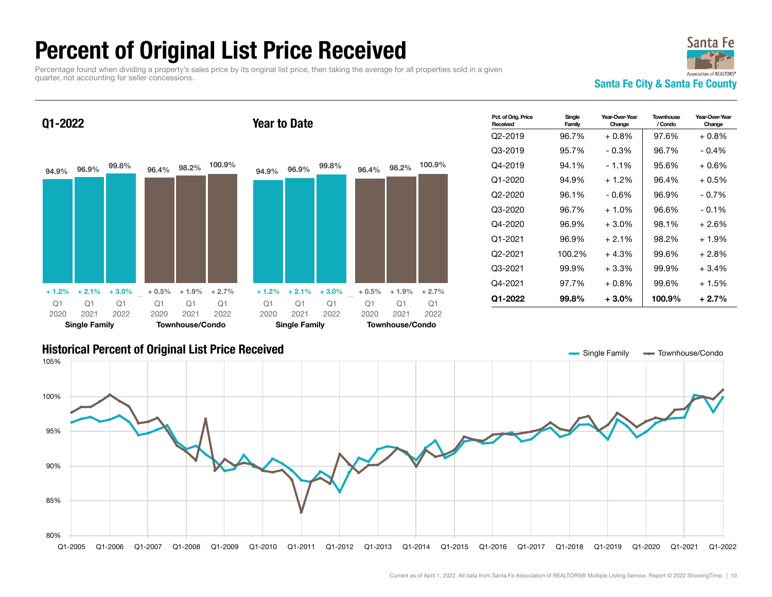### Percent of Original List Price Received

Percentage found when dividing a property's sales price by its original list price, then taking the average for all properties sold in a given quarter, not accounting for seller concessions.



Year-Over-Year

#### Pct. of Orig. Price Received Q1-2022 94.9% 96.9% 99.8%  $+ 1.2\% + 2.1\% + 3.0\%$ 96.4% 98.2% 100.9% + 0.5% + 1.9% + 2.7% Q1 2020 Single Family Q1 2021 Q1 2022 Q1 2020 Townhouse/Condo Q1 2021 Q1 2022 Year to Date 94.9% 96.9% 99.8%  $+ 1.2\% + 2.1\% + 3.0\%$ 96.4% 98.2% 100.9% + 0.5% + 1.9% + 2.7% Q1 2020 Single Family Q1 2021 Q1 2022 Q1 2020 Townhouse/Condo Q1 2021 Q1 2022

| Pct. of Orig. Price<br>Received | Single<br>Family | Year-Over-Year<br>Change | Townhouse<br>/ Condo | Year-Over-Year<br>Change |
|---------------------------------|------------------|--------------------------|----------------------|--------------------------|
| Q2-2019                         | 96.7%            | + 0.8%                   | 97.6%                | $+0.8\%$                 |
| Q3-2019                         | 95.7%            | $-0.3%$                  | 96.7%                | $-0.4\%$                 |
| Q4-2019                         | 94.1%            | $-1.1%$                  | 95.6%                | $+0.6%$                  |
| Q1-2020                         | 94.9%            | + 1.2%                   | 96.4%                | + 0.5%                   |
| Q2-2020                         | 96.1%            | $-0.6%$                  | 96.9%                | $-0.7\%$                 |
| Q3-2020                         | 96.7%            | $+1.0\%$                 | 96.6%                | $-0.1\%$                 |
| Q4-2020                         | 96.9%            | $+3.0\%$                 | 98.1%                | + 2.6%                   |
| Q1-2021                         | 96.9%            | $+2.1%$                  | 98.2%                | $+1.9%$                  |
| Q2-2021                         | 100.2%           | + 4.3%                   | 99.6%                | + 2.8%                   |
| Q3-2021                         | 99.9%            | $+3.3%$                  | 99.9%                | $+3.4\%$                 |
| Q4-2021                         | 97.7%            | + 0.8%                   | 99.6%                | + 1.5%                   |
| Q1-2022                         | 99.8%            | $+3.0%$                  | 100.9%               | $+2.7%$                  |

Year-Over-Ye

Single

#### Historical Percent of Original List Price Received Single Table 1 and Single Family Townhouse/Condo

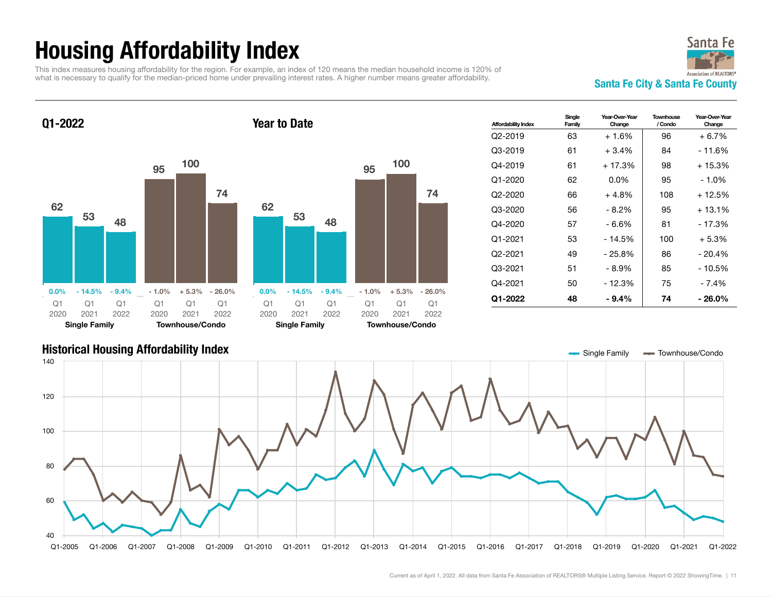## Housing Affordability Index

This index measures housing affordability for the region. For example, an index of 120 means the median household income is 120% of what is necessary to qualify for the median-priced home under prevailing interest rates. A higher number means greater affordability.<br>
Santa Fe City & Santa Fe County





Q1-2022



| <b>Affordability Index</b> | Single<br>Family | Year-Over-Year<br>Change | Townhouse<br>/ Condo | Year-Over-Year<br>Change |
|----------------------------|------------------|--------------------------|----------------------|--------------------------|
| Q2-2019                    | 63               | $+1.6%$                  | 96                   | $+6.7\%$                 |
| Q3-2019                    | 61               | $+3.4%$                  | 84                   | - 11.6%                  |
| $O4-2019$                  | 61               | $+17.3%$                 | 98                   | $+15.3%$                 |
| Q1-2020                    | 62               | $0.0\%$                  | 95                   | $-1.0\%$                 |
| Q2-2020                    | 66               | $+4.8%$                  | 108                  | $+12.5%$                 |
| Q3-2020                    | 56               | - 8.2%                   | 95                   | $+13.1\%$                |
| Q4-2020                    | 57               | - 6.6%                   | 81                   | - 17.3%                  |
| Q1-2021                    | 53               | $-14.5%$                 | 100                  | $+5.3%$                  |
| Q2-2021                    | 49               | $-25.8%$                 | 86                   | $-20.4%$                 |
| Q3-2021                    | 51               | - 8.9%                   | 85                   | $-10.5%$                 |
| Q4-2021                    | 50               | - 12.3%                  | 75                   | $-7.4%$                  |
| Q1-2022                    | 48               | - 9.4%                   | 74                   | - 26.0%                  |

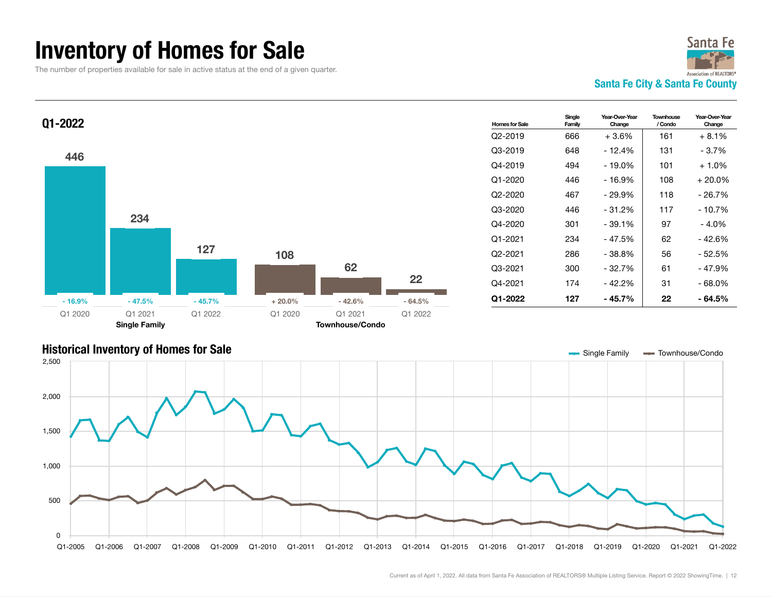### Inventory of Homes for Sale

The number of properties available for sale in active status at the end of a given quarter.



**Townhouse** / Condo

Year-Over-Year Change



#### Historical Inventory of Homes for Sale Single Table 3 and Single Family Townhouse/Condo Q1-2005 Q1-2006 Q1-2007 Q1-2008 Q1-2009 Q1-2010 Q1-2011 Q1-2012 Q1-2013 Q1-2014 Q1-2015 Q1-2016 Q1-2017 Q1-2018 Q1-2019 Q1-2020 Q1-2021 Q1-2022  $\mathbf{0}$ 500 1,000 1,500 2,000 2,500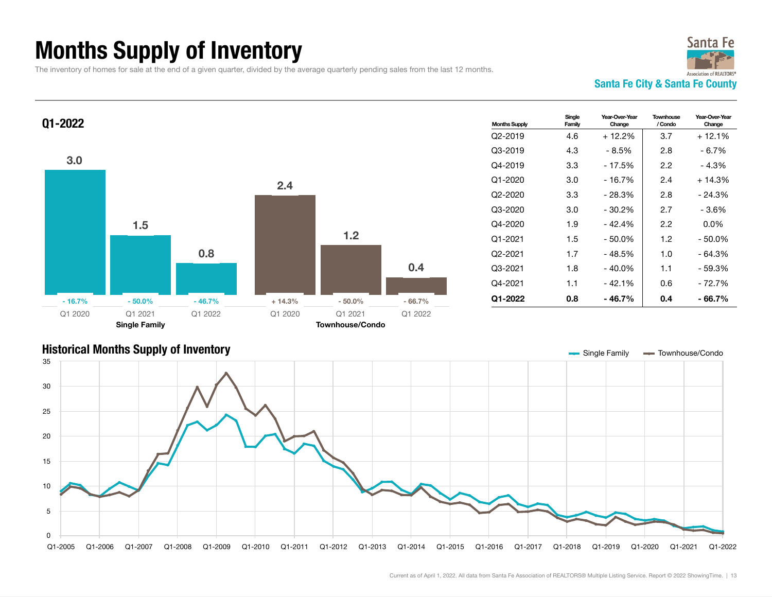## Months Supply of Inventory

The inventory of homes for sale at the end of a given quarter, divided by the average quarterly pending sales from the last 12 months.



Year-Over-Year Change